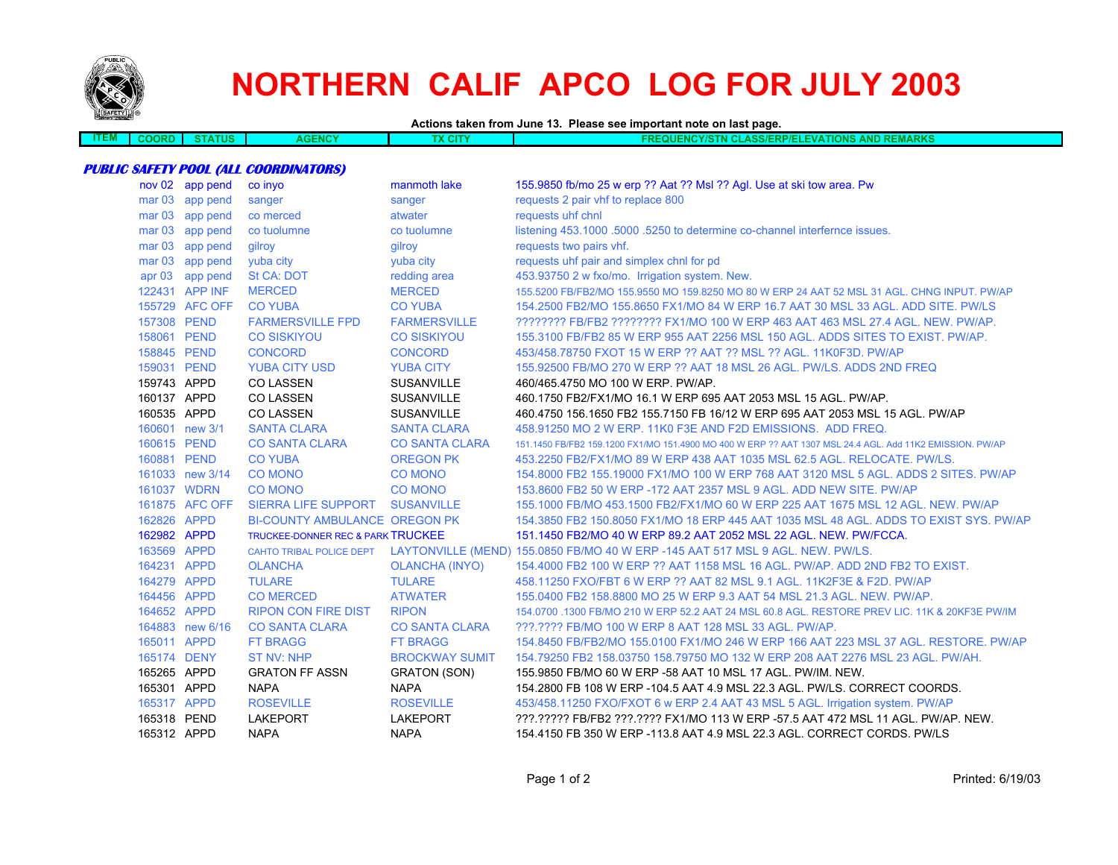

# **NORTHERN CALIF APCO LOG FOR JULY 2003**

#### **Actions taken from June 13. Please see important note on last page.**

| - 7 | ບບ | ∠NCY<br>ΔŒ | х сіт | <b>REMARKS</b><br><b>AND</b><br><b>NCYIC</b><br><b>TIONS</b><br><b>NASS/ERL</b><br>"RP/ELL<br><b>SEMA</b><br>мњ<br><b>NU</b> |
|-----|----|------------|-------|------------------------------------------------------------------------------------------------------------------------------|
|     |    |            |       |                                                                                                                              |

#### **PUBLIC SAFETY POOL (ALL COORDINATORS)**

|             | nov 02 app pend | co inyo                                      | manmoth lake          | 155.9850 fb/mo 25 w erp ?? Aat ?? Msl ?? Agl. Use at ski tow area. Pw                                    |
|-------------|-----------------|----------------------------------------------|-----------------------|----------------------------------------------------------------------------------------------------------|
|             | mar 03 app pend | sanger                                       | sanger                | requests 2 pair vhf to replace 800                                                                       |
|             | mar 03 app pend | co merced                                    | atwater               | requests uhf chnl                                                                                        |
|             | mar 03 app pend | co tuolumne                                  | co tuolumne           | listening 453.1000 .5000 .5250 to determine co-channel interfernce issues.                               |
|             | mar 03 app pend | qilrov                                       | qilrov                | requests two pairs vhf.                                                                                  |
|             | mar 03 app pend | yuba city                                    | yuba city             | requests uhf pair and simplex chnl for pd                                                                |
|             | apr 03 app pend | <b>St CA: DOT</b>                            | redding area          | 453.93750 2 w fxo/mo. Irrigation system. New.                                                            |
|             | 122431 APP INF  | <b>MERCED</b>                                | <b>MERCED</b>         | 155,5200 FB/FB2/MO 155,9550 MO 159,8250 MO 80 W ERP 24 AAT 52 MSL 31 AGL, CHNG INPUT, PW/AP              |
|             | 155729 AFC OFF  | <b>CO YUBA</b>                               | <b>CO YUBA</b>        | 154.2500 FB2/MO 155.8650 FX1/MO 84 W ERP 16.7 AAT 30 MSL 33 AGL. ADD SITE. PW/LS                         |
| 157308 PEND |                 | <b>FARMERSVILLE FPD</b>                      | <b>FARMERSVILLE</b>   | ???????? FB/FB2 ???????? FX1/MO 100 W ERP 463 AAT 463 MSL 27.4 AGL. NEW. PW/AP.                          |
| 158061 PEND |                 | <b>CO SISKIYOU</b>                           | <b>CO SISKIYOU</b>    | 155.3100 FB/FB2 85 W ERP 955 AAT 2256 MSL 150 AGL. ADDS SITES TO EXIST. PW/AP.                           |
| 158845 PEND |                 | <b>CONCORD</b>                               | <b>CONCORD</b>        | 453/458.78750 FXOT 15 W ERP ?? AAT ?? MSL ?? AGL. 11K0F3D. PW/AP                                         |
| 159031 PEND |                 | <b>YUBA CITY USD</b>                         | <b>YUBA CITY</b>      | 155,92500 FB/MO 270 W ERP ?? AAT 18 MSL 26 AGL, PW/LS, ADDS 2ND FREQ                                     |
| 159743 APPD |                 | <b>CO LASSEN</b>                             | <b>SUSANVILLE</b>     | 460/465.4750 MO 100 W ERP. PW/AP.                                                                        |
| 160137 APPD |                 | <b>CO LASSEN</b>                             | <b>SUSANVILLE</b>     | 460.1750 FB2/FX1/MO 16.1 W ERP 695 AAT 2053 MSL 15 AGL. PW/AP.                                           |
| 160535 APPD |                 | <b>CO LASSEN</b>                             | <b>SUSANVILLE</b>     | 460.4750 156.1650 FB2 155.7150 FB 16/12 W ERP 695 AAT 2053 MSL 15 AGL. PW/AP                             |
|             | 160601 new 3/1  | <b>SANTA CLARA</b>                           | <b>SANTA CLARA</b>    | 458,91250 MO 2 W ERP, 11K0 F3E AND F2D EMISSIONS. ADD FREQ.                                              |
| 160615 PEND |                 | <b>CO SANTA CLARA</b>                        | <b>CO SANTA CLARA</b> | 151.1450 FB/FB2 159.1200 FX1/MO 151.4900 MO 400 W ERP ?? AAT 1307 MSL 24.4 AGL. Add 11K2 EMISSION, PW/AP |
| 160881 PEND |                 | <b>CO YUBA</b>                               | <b>OREGON PK</b>      | 453.2250 FB2/FX1/MO 89 W ERP 438 AAT 1035 MSL 62.5 AGL. RELOCATE, PW/LS.                                 |
|             | 161033 new 3/14 | <b>CO MONO</b>                               | <b>CO MONO</b>        | 154,8000 FB2 155,19000 FX1/MO 100 W ERP 768 AAT 3120 MSL 5 AGL, ADDS 2 SITES, PW/AP                      |
|             | 161037 WDRN     | <b>CO MONO</b>                               | <b>CO MONO</b>        | 153,8600 FB2 50 W ERP -172 AAT 2357 MSL 9 AGL, ADD NEW SITE, PW/AP                                       |
|             | 161875 AFC OFF  | <b>SIERRA LIFE SUPPORT</b>                   | <b>SUSANVILLE</b>     | 155,1000 FB/MO 453,1500 FB2/FX1/MO 60 W ERP 225 AAT 1675 MSL 12 AGL, NEW, PW/AP                          |
| 162826 APPD |                 | <b>BI-COUNTY AMBULANCE OREGON PK</b>         |                       | 154.3850 FB2 150.8050 FX1/MO 18 ERP 445 AAT 1035 MSL 48 AGL. ADDS TO EXIST SYS. PW/AP                    |
| 162982 APPD |                 | <b>TRUCKEE-DONNER REC &amp; PARK TRUCKEE</b> |                       | 151.1450 FB2/MO 40 W ERP 89.2 AAT 2052 MSL 22 AGL, NEW, PW/FCCA.                                         |
| 163569 APPD |                 |                                              |                       | CAHTO TRIBAL POLICE DEPT LAYTONVILLE (MEND) 155.0850 FB/MO 40 W ERP -145 AAT 517 MSL 9 AGL. NEW. PW/LS.  |
| 164231 APPD |                 | <b>OLANCHA</b>                               | <b>OLANCHA (INYO)</b> | 154.4000 FB2 100 W ERP ?? AAT 1158 MSL 16 AGL. PW/AP. ADD 2ND FB2 TO EXIST.                              |
| 164279 APPD |                 | <b>TULARE</b>                                | <b>TULARE</b>         | 458.11250 FXO/FBT 6 W ERP ?? AAT 82 MSL 9.1 AGL, 11K2F3E & F2D, PW/AP                                    |
| 164456 APPD |                 | <b>CO MERCED</b>                             | <b>ATWATER</b>        | 155,0400 FB2 158,8800 MO 25 W ERP 9.3 AAT 54 MSL 21.3 AGL, NEW, PW/AP.                                   |
| 164652 APPD |                 | <b>RIPON CON FIRE DIST</b>                   | <b>RIPON</b>          | 154,0700 ,1300 FB/MO 210 W ERP 52.2 AAT 24 MSL 60.8 AGL, RESTORE PREV LIC, 11K & 20KF3E PW/IM            |
|             | 164883 new 6/16 | <b>CO SANTA CLARA</b>                        | <b>CO SANTA CLARA</b> | ???.???? FB/MO 100 W ERP 8 AAT 128 MSL 33 AGL. PW/AP.                                                    |
| 165011 APPD |                 | <b>FT BRAGG</b>                              | <b>FT BRAGG</b>       | 154.8450 FB/FB2/MO 155.0100 FX1/MO 246 W ERP 166 AAT 223 MSL 37 AGL. RESTORE. PW/AP                      |
| 165174 DENY |                 | <b>ST NV: NHP</b>                            | <b>BROCKWAY SUMIT</b> | 154.79250 FB2 158.03750 158.79750 MO 132 W ERP 208 AAT 2276 MSL 23 AGL, PW/AH.                           |
| 165265 APPD |                 | <b>GRATON FF ASSN</b>                        | <b>GRATON (SON)</b>   | 155.9850 FB/MO 60 W ERP -58 AAT 10 MSL 17 AGL, PW/IM, NEW.                                               |
| 165301 APPD |                 | <b>NAPA</b>                                  | <b>NAPA</b>           | 154,2800 FB 108 W ERP -104.5 AAT 4.9 MSL 22.3 AGL, PW/LS, CORRECT COORDS.                                |
| 165317 APPD |                 | <b>ROSEVILLE</b>                             | <b>ROSEVILLE</b>      | 453/458.11250 FXO/FXOT 6 w ERP 2.4 AAT 43 MSL 5 AGL. Irrigation system. PW/AP                            |
| 165318 PEND |                 | <b>LAKEPORT</b>                              | <b>LAKEPORT</b>       | ???.????? FB/FB2 ???.???? FX1/MO 113 W ERP -57.5 AAT 472 MSL 11 AGL. PW/AP. NEW.                         |
| 165312 APPD |                 | <b>NAPA</b>                                  | <b>NAPA</b>           | 154.4150 FB 350 W ERP -113.8 AAT 4.9 MSL 22.3 AGL. CORRECT CORDS. PW/LS                                  |